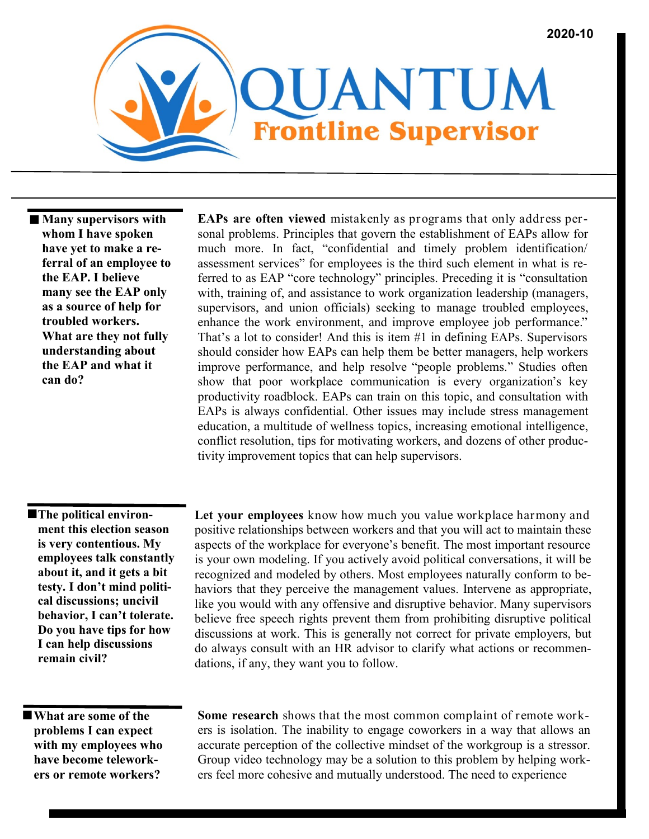

 **Many supervisors with whom I have spoken have yet to make a referral of an employee to the EAP. I believe many see the EAP only as a source of help for troubled workers. What are they not fully understanding about the EAP and what it can do?**

**EAPs are often viewed** mistakenly as programs that only address personal problems. Principles that govern the establishment of EAPs allow for much more. In fact, "confidential and timely problem identification/ assessment services" for employees is the third such element in what is referred to as EAP "core technology" principles. Preceding it is "consultation with, training of, and assistance to work organization leadership (managers, supervisors, and union officials) seeking to manage troubled employees, enhance the work environment, and improve employee job performance." That's a lot to consider! And this is item #1 in defining EAPs. Supervisors should consider how EAPs can help them be better managers, help workers improve performance, and help resolve "people problems." Studies often show that poor workplace communication is every organization's key productivity roadblock. EAPs can train on this topic, and consultation with EAPs is always confidential. Other issues may include stress management education, a multitude of wellness topics, increasing emotional intelligence, conflict resolution, tips for motivating workers, and dozens of other productivity improvement topics that can help supervisors.

**The political environment this election season is very contentious. My employees talk constantly about it, and it gets a bit testy. I don't mind political discussions; uncivil behavior, I can't tolerate. Do you have tips for how I can help discussions remain civil?**

**Let your employees** know how much you value workplace harmony and positive relationships between workers and that you will act to maintain these aspects of the workplace for everyone's benefit. The most important resource is your own modeling. If you actively avoid political conversations, it will be recognized and modeled by others. Most employees naturally conform to behaviors that they perceive the management values. Intervene as appropriate, like you would with any offensive and disruptive behavior. Many supervisors believe free speech rights prevent them from prohibiting disruptive political discussions at work. This is generally not correct for private employers, but do always consult with an HR advisor to clarify what actions or recommendations, if any, they want you to follow.

 **What are some of the problems I can expect with my employees who have become teleworkers or remote workers?**

**Some research** shows that the most common complaint of remote workers is isolation. The inability to engage coworkers in a way that allows an accurate perception of the collective mindset of the workgroup is a stressor. Group video technology may be a solution to this problem by helping workers feel more cohesive and mutually understood. The need to experience